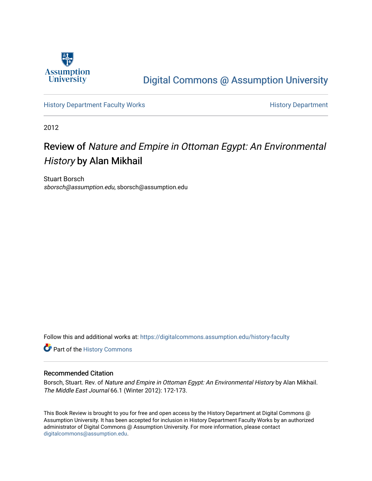

## [Digital Commons @ Assumption University](https://digitalcommons.assumption.edu/)

[History Department Faculty Works](https://digitalcommons.assumption.edu/history-faculty) **History Department** 

2012

# Review of Nature and Empire in Ottoman Egypt: An Environmental History by Alan Mikhail

Stuart Borsch sborsch@assumption.edu, sborsch@assumption.edu

Follow this and additional works at: [https://digitalcommons.assumption.edu/history-faculty](https://digitalcommons.assumption.edu/history-faculty?utm_source=digitalcommons.assumption.edu%2Fhistory-faculty%2F6&utm_medium=PDF&utm_campaign=PDFCoverPages) 

Part of the [History Commons](http://network.bepress.com/hgg/discipline/489?utm_source=digitalcommons.assumption.edu%2Fhistory-faculty%2F6&utm_medium=PDF&utm_campaign=PDFCoverPages) 

#### Recommended Citation

Borsch, Stuart. Rev. of Nature and Empire in Ottoman Egypt: An Environmental History by Alan Mikhail. The Middle East Journal 66.1 (Winter 2012): 172-173.

This Book Review is brought to you for free and open access by the History Department at Digital Commons @ Assumption University. It has been accepted for inclusion in History Department Faculty Works by an authorized administrator of Digital Commons @ Assumption University. For more information, please contact [digitalcommons@assumption.edu](mailto:digitalcommons@assumption.edu).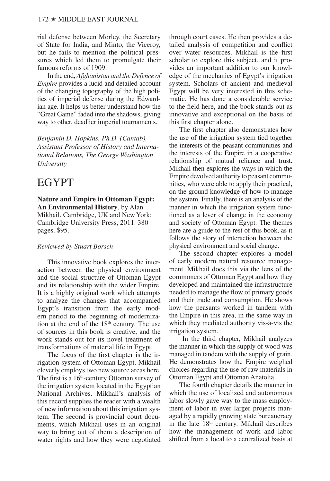rial defense between Morley, the Secretary of State for India, and Minto, the Viceroy, but he fails to mention the political pressures which led them to promulgate their famous reforms of 1909.

In the end, *Afghanistan and the Defence of Empire* provides a lucid and detailed account of the changing topography of the high politics of imperial defense during the Edwardian age. It helps us better understand how the "Great Game" faded into the shadows, giving way to other, deadlier imperial tournaments.

*Benjamin D. Hopkins, Ph.D. (Cantab), Assistant Professor of History and International Relations, The George Washington University*

### EGYPT

#### **Nature and Empire in Ottoman Egypt: An Environmental History**, by Alan Mikhail. Cambridge, UK and New York: Cambridge University Press, 2011. 380 pages. \$95.

#### *Reviewed by Stuart Borsch*

This innovative book explores the interaction between the physical environment and the social structure of Ottoman Egypt and its relationship with the wider Empire. It is a highly original work which attempts to analyze the changes that accompanied Egypt's transition from the early modern period to the beginning of modernization at the end of the  $18<sup>th</sup>$  century. The use of sources in this book is creative, and the work stands out for its novel treatment of transformations of material life in Egypt.

The focus of the first chapter is the irrigation system of Ottoman Egypt. Mikhail cleverly employs two new source areas here. The first is a  $16<sup>th</sup>$ -century Ottoman survey of the irrigation system located in the Egyptian National Archives. Mikhail's analysis of this record supplies the reader with a wealth of new information about this irrigation system. The second is provincial court documents, which Mikhail uses in an original way to bring out of them a description of water rights and how they were negotiated

through court cases. He then provides a detailed analysis of competition and conflict over water resources. Mikhail is the first scholar to explore this subject, and it provides an important addition to our knowledge of the mechanics of Egypt's irrigation system. Scholars of ancient and medieval Egypt will be very interested in this schematic. He has done a considerable service to the field here, and the book stands out as innovative and exceptional on the basis of this first chapter alone.

The first chapter also demonstrates how the use of the irrigation system tied together the interests of the peasant communities and the interests of the Empire in a cooperative relationship of mutual reliance and trust. Mikhail then explores the ways in which the Empire devolved authority to peasant communities, who were able to apply their practical, on the ground knowledge of how to manage the system. Finally, there is an analysis of the manner in which the irrigation system functioned as a lever of change in the economy and society of Ottoman Egypt. The themes here are a guide to the rest of this book, as it follows the story of interaction between the physical environment and social change.

The second chapter explores a model of early modern natural resource management. Mikhail does this via the lens of the commoners of Ottoman Egypt and how they developed and maintained the infrastructure needed to manage the flow of primary goods and their trade and consumption. He shows how the peasants worked in tandem with the Empire in this area, in the same way in which they mediated authority vis-à-vis the irrigation system.

 In the third chapter, Mikhail analyzes the manner in which the supply of wood was managed in tandem with the supply of grain. He demonstrates how the Empire weighed choices regarding the use of raw materials in Ottoman Egypt and Ottoman Anatolia.

The fourth chapter details the manner in which the use of localized and autonomous labor slowly gave way to the mass employment of labor in ever larger projects managed by a rapidly growing state bureaucracy in the late 18<sup>th</sup> century. Mikhail describes how the management of work and labor shifted from a local to a centralized basis at